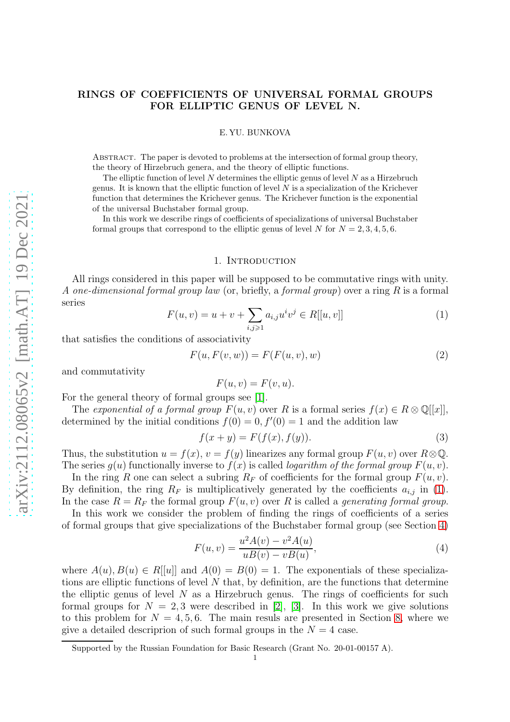# RINGS OF COEFFICIENTS OF UNIVERSAL FORMAL GROUPS FOR ELLIPTIC GENUS OF LEVEL N.

#### E. YU. BUNKOVA

Abstract. The paper is devoted to problems at the intersection of formal group theory, the theory of Hirzebruch genera, and the theory of elliptic functions.

The elliptic function of level  $N$  determines the elliptic genus of level  $N$  as a Hirzebruch genus. It is known that the elliptic function of level  $N$  is a specialization of the Krichever function that determines the Krichever genus. The Krichever function is the exponential of the universal Buchstaber formal group.

In this work we describe rings of coefficients of specializations of universal Buchstaber formal groups that correspond to the elliptic genus of level N for  $N = 2, 3, 4, 5, 6$ .

#### 1. INTRODUCTION

All rings considered in this paper will be supposed to be commutative rings with unity. A one-dimensional formal group law (or, briefly, a formal group) over a ring  $R$  is a formal series

<span id="page-0-0"></span>
$$
F(u, v) = u + v + \sum_{i, j \ge 1} a_{i, j} u^i v^j \in R[[u, v]]
$$
\n(1)

that satisfies the conditions of associativity

<span id="page-0-2"></span>
$$
F(u, F(v, w)) = F(F(u, v), w)
$$
\n<sup>(2)</sup>

and commutativity

$$
F(u, v) = F(v, u).
$$

For the general theory of formal groups see [\[1\]](#page-11-0).

The exponential of a formal group  $F(u, v)$  over R is a formal series  $f(x) \in R \otimes \mathbb{Q}[[x]]$ , determined by the initial conditions  $f(0) = 0, f'(0) = 1$  and the addition law

$$
f(x+y) = F(f(x), f(y)).
$$
\n
$$
(3)
$$

Thus, the substitution  $u = f(x)$ ,  $v = f(y)$  linearizes any formal group  $F(u, v)$  over  $R \otimes \mathbb{Q}$ . The series  $q(u)$  functionally inverse to  $f(x)$  is called *logarithm of the formal group*  $F(u, v)$ .

In the ring R one can select a subring  $R_F$  of coefficients for the formal group  $F(u, v)$ . By definition, the ring  $R_F$  is multiplicatively generated by the coefficients  $a_{i,j}$  in [\(1\)](#page-0-0). In the case  $R = R_F$  the formal group  $F(u, v)$  over R is called a generating formal group.

In this work we consider the problem of finding the rings of coefficients of a series of formal groups that give specializations of the Buchstaber formal group (see Section [4\)](#page-3-0)

<span id="page-0-1"></span>
$$
F(u, v) = \frac{u^2 A(v) - v^2 A(u)}{u B(v) - v B(u)},
$$
\n(4)

where  $A(u), B(u) \in R[[u]]$  and  $A(0) = B(0) = 1$ . The exponentials of these specializations are elliptic functions of level  $N$  that, by definition, are the functions that determine the elliptic genus of level  $N$  as a Hirzebruch genus. The rings of coefficients for such formal groups for  $N = 2, 3$  were described in [\[2\]](#page-11-1), [\[3\]](#page-11-2). In this work we give solutions to this problem for  $N = 4, 5, 6$ . The main resuls are presented in Section [8,](#page-8-0) where we give a detailed descriprion of such formal groups in the  $N = 4$  case.

Supported by the Russian Foundation for Basic Research (Grant No. 20-01-00157 A).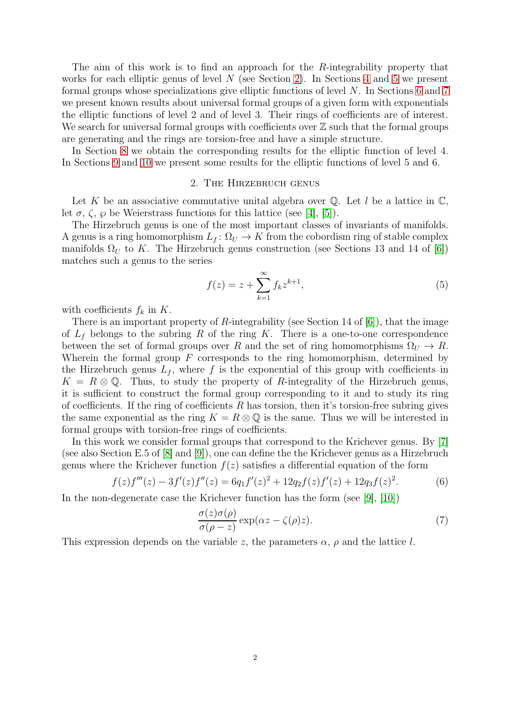The aim of this work is to find an approach for the R-integrability property that works for each elliptic genus of level  $N$  (see Section [2\)](#page-1-0). In Sections [4](#page-3-0) and [5](#page-5-0) we present formal groups whose specializations give elliptic functions of level N. In Sections [6](#page-6-0) and [7](#page-7-0) we present known results about universal formal groups of a given form with exponentials the elliptic functions of level 2 and of level 3. Their rings of coefficients are of interest. We search for universal formal groups with coefficients over  $\mathbb Z$  such that the formal groups are generating and the rings are torsion-free and have a simple structure.

<span id="page-1-0"></span>In Section [8](#page-8-0) we obtain the corresponding results for the elliptic function of level 4. In Sections [9](#page-9-0) and [10](#page-10-0) we present some results for the elliptic functions of level 5 and 6.

### 2. The Hirzebruch genus

Let K be an associative commutative unital algebra over  $\mathbb Q$ . Let l be a lattice in  $\mathbb C$ , let  $\sigma$ ,  $\zeta$ ,  $\wp$  be Weierstrass functions for this lattice (see [\[4\]](#page-11-3), [\[5\]](#page-11-4)).

The Hirzebruch genus is one of the most important classes of invariants of manifolds. A genus is a ring homomorphism  $L_f: \Omega_U \to K$  from the cobordism ring of stable complex manifolds  $\Omega_U$  to K. The Hirzebruch genus construction (see Sections 13 and 14 of [\[6\]](#page-11-5)) matches such a genus to the series

<span id="page-1-1"></span>
$$
f(z) = z + \sum_{k=1}^{\infty} f_k z^{k+1},
$$
\n(5)

with coefficients  $f_k$  in K.

There is an important property of  $R$ -integrability (see Section 14 of  $[6]$ ), that the image of  $L_f$  belongs to the subring R of the ring K. There is a one-to-one correspondence between the set of formal groups over R and the set of ring homomorphisms  $\Omega_U \to R$ . Wherein the formal group  $F$  corresponds to the ring homomorphism, determined by the Hirzebruch genus  $L_f$ , where f is the exponential of this group with coefficients in  $K = R \otimes \mathbb{Q}$ . Thus, to study the property of R-integrality of the Hirzebruch genus, it is sufficient to construct the formal group corresponding to it and to study its ring of coefficients. If the ring of coefficients R has torsion, then it's torsion-free subring gives the same exponential as the ring  $K = R \otimes \mathbb{Q}$  is the same. Thus we will be interested in formal groups with torsion-free rings of coefficients.

In this work we consider formal groups that correspond to the Krichever genus. By [\[7\]](#page-11-6) (see also Section E.5 of [\[8\]](#page-11-7) and [\[9\]](#page-11-8)), one can define the the Krichever genus as a Hirzebruch genus where the Krichever function  $f(z)$  satisfies a differential equation of the form

$$
f(z)f'''(z) - 3f'(z)f''(z) = 6q_1f'(z)^2 + 12q_2f(z)f'(z) + 12q_3f(z)^2.
$$
 (6)

In the non-degenerate case the Krichever function has the form (see [\[9\]](#page-11-8), [\[10\]](#page-11-9))

<span id="page-1-2"></span>
$$
\frac{\sigma(z)\sigma(\rho)}{\sigma(\rho-z)}\exp(\alpha z - \zeta(\rho)z).
$$
\n(7)

This expression depends on the variable z, the parameters  $\alpha$ ,  $\rho$  and the lattice l.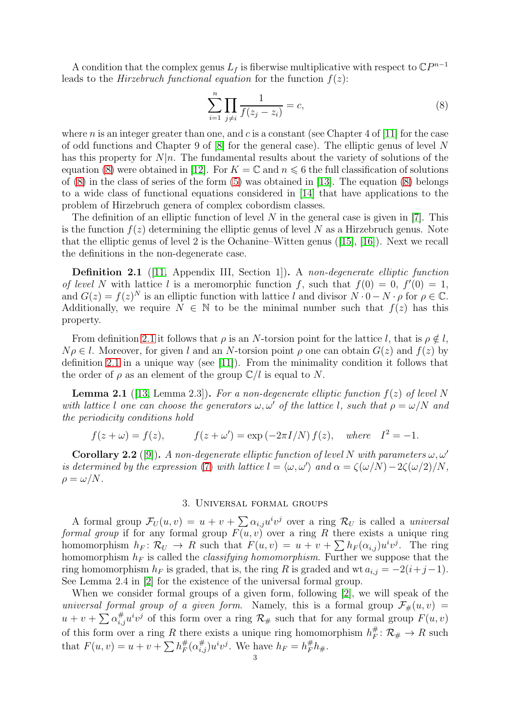A condition that the complex genus  $L_f$  is fiberwise multiplicative with respect to  $\mathbb{C}P^{n-1}$ leads to the *Hirzebruch functional equation* for the function  $f(z)$ :

<span id="page-2-0"></span>
$$
\sum_{i=1}^{n} \prod_{j \neq i} \frac{1}{f(z_j - z_i)} = c,\tag{8}
$$

where n is an integer greater than one, and c is a constant (see Chapter 4 of [\[11\]](#page-11-10) for the case of odd functions and Chapter 9 of  $[8]$  for the general case). The elliptic genus of level N has this property for  $N|n$ . The fundamental results about the variety of solutions of the equation [\(8\)](#page-2-0) were obtained in [\[12\]](#page-11-11). For  $K = \mathbb{C}$  and  $n \leq 6$  the full classification of solutions of [\(8\)](#page-2-0) in the class of series of the form [\(5\)](#page-1-1) was obtained in [\[13\]](#page-11-12). The equation [\(8\)](#page-2-0) belongs to a wide class of functional equations considered in [\[14\]](#page-11-13) that have applications to the problem of Hirzebruch genera of complex cobordism classes.

The definition of an elliptic function of level  $N$  in the general case is given in [\[7\]](#page-11-6). This is the function  $f(z)$  determining the elliptic genus of level N as a Hirzebruch genus. Note that the elliptic genus of level 2 is the Ochanine–Witten genus ([\[15\]](#page-11-14), [\[16\]](#page-11-15)). Next we recall the definitions in the non-degenerate case.

<span id="page-2-1"></span>Definition 2.1 ([\[11,](#page-11-10) Appendix III, Section 1]). A non-degenerate elliptic function of level N with lattice l is a meromorphic function f, such that  $f(0) = 0$ ,  $f'(0) = 1$ , and  $G(z) = f(z)^N$  is an elliptic function with lattice l and divisor  $N \cdot 0 - N \cdot \rho$  for  $\rho \in \mathbb{C}$ . Additionally, we require  $N \in \mathbb{N}$  to be the minimal number such that  $f(z)$  has this property.

From definition [2.1](#page-2-1) it follows that  $\rho$  is an N-torsion point for the lattice l, that is  $\rho \notin l$ ,  $N\rho \in l$ . Moreover, for given l and an N-torsion point  $\rho$  one can obtain  $G(z)$  and  $f(z)$  by definition [2.1](#page-2-1) in a unique way (see [\[11\]](#page-11-10)). From the minimality condition it follows that the order of  $\rho$  as an element of the group  $\mathbb{C}/l$  is equal to N.

**Lemma 2.1** ([\[13,](#page-11-12) Lemma 2.3]). For a non-degenerate elliptic function  $f(z)$  of level N with lattice l one can choose the generators  $\omega, \omega'$  of the lattice l, such that  $\rho = \omega/N$  and the periodicity conditions hold

$$
f(z + \omega) = f(z), \qquad f(z + \omega') = \exp(-2\pi I/N) f(z), \quad \text{where} \quad I^2 = -1.
$$

**Corollary 2.2** ([\[9\]](#page-11-8)). A non-degenerate elliptic function of level N with parameters  $\omega, \omega'$ is determined by the expression [\(7\)](#page-1-2) with lattice  $l = \langle \omega, \omega' \rangle$  and  $\alpha = \zeta(\omega/N) - 2\zeta(\omega/2)/N$ ,  $\rho = \omega/N$ .

### 3. Universal formal groups

A formal group  $\mathcal{F}_U(u, v) = u + v + \sum \alpha_{i,j} u^i v^j$  over a ring  $\mathcal{R}_U$  is called a *universal* formal group if for any formal group  $F(u, v)$  over a ring R there exists a unique ring homomorphism  $h_F: \mathcal{R}_U \to R$  such that  $F(u, v) = u + v + \sum h_F(\alpha_{i,j})u^iv^j$ . The ring homomorphism  $h_F$  is called the *classifying homomorphism*. Further we suppose that the ring homomorphism  $h_F$  is graded, that is, the ring R is graded and wt  $a_{i,j} = -2(i+j-1)$ . See Lemma 2.4 in [\[2\]](#page-11-1) for the existence of the universal formal group.

When we consider formal groups of a given form, following [\[2\]](#page-11-1), we will speak of the universal formal group of a given form. Namely, this is a formal group  $\mathcal{F}_{\#}(u, v) =$  $u + v + \sum_{i,j} \alpha_{i,j}^{\#} u^i v^j$  of this form over a ring  $\mathcal{R}_{\#}$  such that for any formal group  $F(u, v)$ of this form over a ring R there exists a unique ring homomorphism  $h_F^{\#}$  $_{F}^{\#} \colon \mathcal{R}_{\#} \to R$  such that  $F(u, v) = u + v + \sum_{F} h_F^{\#}$  ${}^{\#}_{F}(\alpha^{\#}_{i,j})u^{i}v^{j}$ . We have  $h_{F} = h_{F}^{\#}h_{\#}$ .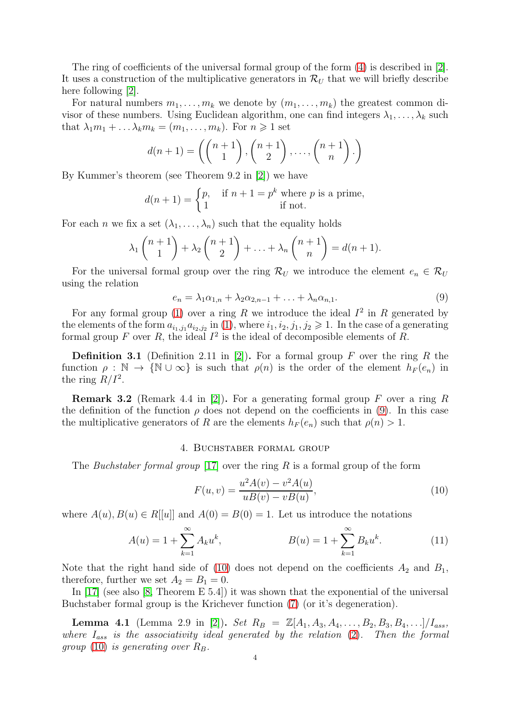The ring of coefficients of the universal formal group of the form [\(4\)](#page-0-1) is described in [\[2\]](#page-11-1). It uses a construction of the multiplicative generators in  $\mathcal{R}_U$  that we will briefly describe here following [\[2\]](#page-11-1).

For natural numbers  $m_1, \ldots, m_k$  we denote by  $(m_1, \ldots, m_k)$  the greatest common divisor of these numbers. Using Euclidean algorithm, one can find integers  $\lambda_1, \ldots, \lambda_k$  such that  $\lambda_1 m_1 + \ldots \lambda_k m_k = (m_1, \ldots, m_k)$ . For  $n \geq 1$  set

$$
d(n+1) = \left( \binom{n+1}{1}, \binom{n+1}{2}, \dots, \binom{n+1}{n} \right)
$$

By Kummer's theorem (see Theorem 9.2 in [\[2\]](#page-11-1)) we have

$$
d(n+1) = \begin{cases} p, & \text{if } n+1 = p^k \text{ where } p \text{ is a prime,} \\ 1 & \text{if not.} \end{cases}
$$

For each n we fix a set  $(\lambda_1, \ldots, \lambda_n)$  such that the equality holds

$$
\lambda_1 \binom{n+1}{1} + \lambda_2 \binom{n+1}{2} + \ldots + \lambda_n \binom{n+1}{n} = d(n+1).
$$

For the universal formal group over the ring  $\mathcal{R}_U$  we introduce the element  $e_n \in \mathcal{R}_U$ using the relation

<span id="page-3-1"></span>
$$
e_n = \lambda_1 \alpha_{1,n} + \lambda_2 \alpha_{2,n-1} + \ldots + \lambda_n \alpha_{n,1}.
$$
\n
$$
(9)
$$

For any formal group [\(1\)](#page-0-0) over a ring R we introduce the ideal  $I^2$  in R generated by the elements of the form  $a_{i_1,j_1}a_{i_2,j_2}$  in [\(1\)](#page-0-0), where  $i_1, i_2, j_1, j_2 \geq 1$ . In the case of a generating formal group F over R, the ideal  $I^2$  is the ideal of decomposible elements of R.

**Definition 3.1** (Definition 2.11 in [\[2\]](#page-11-1)). For a formal group F over the ring R the function  $\rho : \mathbb{N} \to \{\mathbb{N} \cup \infty\}$  is such that  $\rho(n)$  is the order of the element  $h_F(e_n)$  in the ring  $R/I^2$ .

**Remark 3.2** (Remark 4.4 in [\[2\]](#page-11-1)). For a generating formal group F over a ring R the definition of the function  $\rho$  does not depend on the coefficients in [\(9\)](#page-3-1). In this case the multiplicative generators of R are the elements  $h_F(e_n)$  such that  $\rho(n) > 1$ .

### 4. Buchstaber formal group

<span id="page-3-0"></span>The Buchstaber formal group [\[17\]](#page-11-16) over the ring R is a formal group of the form

<span id="page-3-2"></span>
$$
F(u, v) = \frac{u^2 A(v) - v^2 A(u)}{u B(v) - v B(u)},
$$
\n(10)

where  $A(u), B(u) \in R[[u]]$  and  $A(0) = B(0) = 1$ . Let us introduce the notations

$$
A(u) = 1 + \sum_{k=1}^{\infty} A_k u^k, \qquad B(u) = 1 + \sum_{k=1}^{\infty} B_k u^k.
$$
 (11)

Note that the right hand side of [\(10\)](#page-3-2) does not depend on the coefficients  $A_2$  and  $B_1$ , therefore, further we set  $A_2 = B_1 = 0$ .

In [\[17\]](#page-11-16) (see also [\[8,](#page-11-7) Theorem E 5.4]) it was shown that the exponential of the universal Buchstaber formal group is the Krichever function [\(7\)](#page-1-2) (or it's degeneration).

<span id="page-3-3"></span>**Lemma 4.1** (Lemma 2.9 in [\[2\]](#page-11-1)). Set  $R_B = \mathbb{Z}[A_1, A_3, A_4, \ldots, B_2, B_3, B_4, \ldots]/I_{ass}$ , where  $I_{ass}$  is the associativity ideal generated by the relation  $(2)$ . Then the formal group [\(10\)](#page-3-2) is generating over  $R_B$ .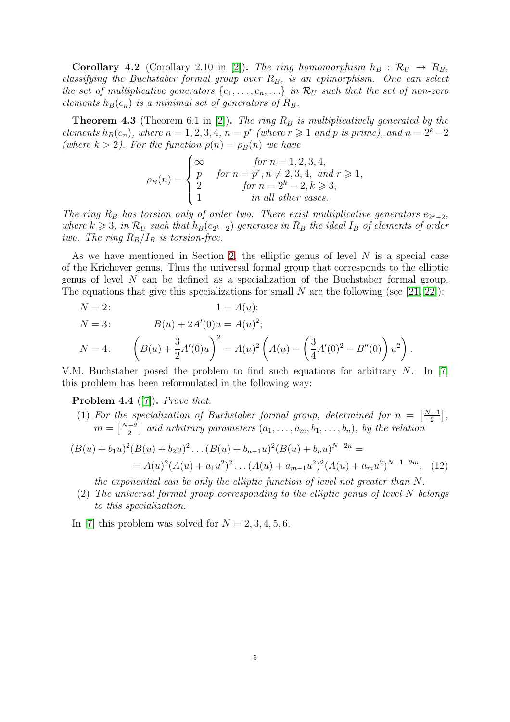**Corollary 4.2** (Corollary 2.10 in [\[2\]](#page-11-1)). The ring homomorphism  $h_B : \mathcal{R}_U \to R_B$ , classifying the Buchstaber formal group over  $R_B$ , is an epimorphism. One can select the set of multiplicative generators  $\{e_1, \ldots, e_n, \ldots\}$  in  $\mathcal{R}_U$  such that the set of non-zero elements  $h_B(e_n)$  is a minimal set of generators of  $R_B$ .

<span id="page-4-0"></span>**Theorem 4.3** (Theorem 6.1 in [\[2\]](#page-11-1)). The ring  $R_B$  is multiplicatively generated by the elements  $h_B(e_n)$ , where  $n = 1, 2, 3, 4$ ,  $n = p^r$  (where  $r \geq 1$  and p is prime), and  $n = 2^k - 2$ (where  $k > 2$ ). For the function  $\rho(n) = \rho_B(n)$  we have

$$
\rho_B(n) = \begin{cases}\n\infty & \text{for } n = 1, 2, 3, 4, \\
p & \text{for } n = p^r, n \neq 2, 3, 4, \text{ and } r \geqslant 1, \\
2 & \text{for } n = 2^k - 2, k \geqslant 3, \\
1 & \text{in all other cases.}\n\end{cases}
$$

The ring  $R_B$  has torsion only of order two. There exist multiplicative generators  $e_{2^k-2}$ , where  $k \geqslant 3$ , in  $\mathcal{R}_U$  such that  $h_B(e_{2^k-2})$  generates in  $R_B$  the ideal  $I_B$  of elements of order two. The ring  $R_B/I_B$  is torsion-free.

As we have mentioned in Section [2,](#page-1-0) the elliptic genus of level  $N$  is a special case of the Krichever genus. Thus the universal formal group that corresponds to the elliptic genus of level N can be defined as a specialization of the Buchstaber formal group. The equations that give this specializations for small N are the following (see [\[21,](#page-11-17) [22\]](#page-11-18)):

$$
N = 2:
$$
  $1 = A(u);$ 

$$
N = 3: \t B(u) + 2A'(0)u = A(u)^2;
$$
  
\n
$$
N = 4: \t \left(B(u) + \frac{3}{2}A'(0)u\right)^2 = A(u)^2 \left(A(u) - \left(\frac{3}{4}A'(0)^2 - B''(0)\right)u^2\right).
$$

V.M. Buchstaber posed the problem to find such equations for arbitrary  $N$ . In [\[7\]](#page-11-6) this problem has been reformulated in the following way:

Problem 4.4 ([\[7\]](#page-11-6)). *Prove that:* 

(1) For the specialization of Buchstaber formal group, determined for  $n = \frac{N-1}{2}$  $\frac{-1}{2}$ ,  $m = \left[\frac{N-2}{2}\right]$  $\left[\frac{-2}{2}\right]$  and arbitrary parameters  $(a_1, \ldots, a_m, b_1, \ldots, b_n)$ , by the relation

$$
(B(u) + b_1 u)^2 (B(u) + b_2 u)^2 \dots (B(u) + b_{n-1} u)^2 (B(u) + b_n u)^{N-2n} =
$$
  
=  $A(u)^2 (A(u) + a_1 u^2)^2 \dots (A(u) + a_{m-1} u^2)^2 (A(u) + a_m u^2)^{N-1-2m},$  (12)

the exponential can be only the elliptic function of level not greater than N.

(2) The universal formal group corresponding to the elliptic genus of level N belongs to this specialization.

In [\[7\]](#page-11-6) this problem was solved for  $N = 2, 3, 4, 5, 6$ .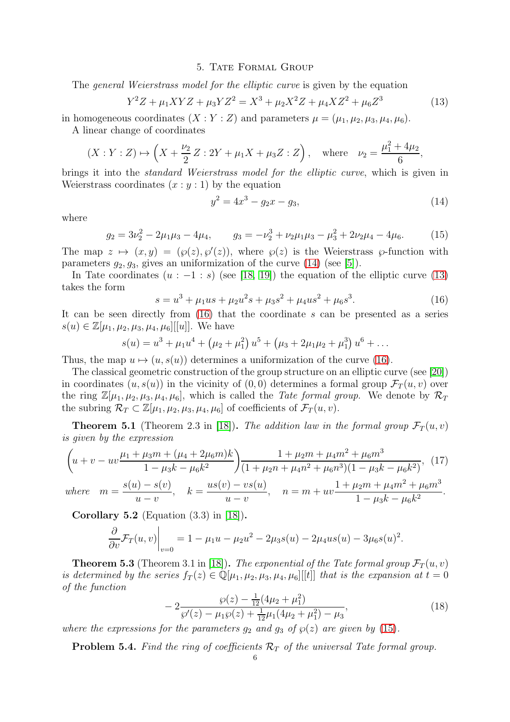#### 5. TATE FORMAL GROUP

<span id="page-5-0"></span>The *general Weierstrass model for the elliptic curve* is given by the equation

<span id="page-5-2"></span>
$$
Y^2 Z + \mu_1 XYZ + \mu_3 YZ^2 = X^3 + \mu_2 X^2 Z + \mu_4 XZ^2 + \mu_6 Z^3 \tag{13}
$$

in homogeneous coordinates  $(X:Y:Z)$  and parameters  $\mu = (\mu_1, \mu_2, \mu_3, \mu_4, \mu_6)$ . A linear change of coordinates

$$
(X:Y:Z) \mapsto \left(X + \frac{\nu_2}{2}Z:2Y + \mu_1 X + \mu_3 Z:Z\right)
$$
, where  $\nu_2 = \frac{\mu_1^2 + 4\mu_2}{6}$ ,

brings it into the standard Weierstrass model for the elliptic curve, which is given in Weierstrass coordinates  $(x : y : 1)$  by the equation

<span id="page-5-1"></span>
$$
y^2 = 4x^3 - g_2x - g_3,\tag{14}
$$

where

<span id="page-5-4"></span>
$$
g_2 = 3\nu_2^2 - 2\mu_1\mu_3 - 4\mu_4, \qquad g_3 = -\nu_2^3 + \nu_2\mu_1\mu_3 - \mu_3^2 + 2\nu_2\mu_4 - 4\mu_6. \tag{15}
$$

The map  $z \mapsto (x, y) = (\wp(z), \wp'(z))$ , where  $\wp(z)$  is the Weierstrass  $\wp$ -function with parameters  $g_2, g_3$ , gives an uniformization of the curve  $(14)$  (see [\[5\]](#page-11-4)).

In Tate coordinates  $(u : -1 : s)$  (see [\[18,](#page-11-19) [19\]](#page-11-20)) the equation of the elliptic curve [\(13\)](#page-5-2) takes the form

<span id="page-5-3"></span>
$$
s = u3 + \mu_1 u s + \mu_2 u2 s + \mu_3 s2 + \mu_4 u s2 + \mu_6 s3.
$$
 (16)

It can be seen directly from [\(16\)](#page-5-3) that the coordinate s can be presented as a series  $s(u) \in \mathbb{Z}[\mu_1, \mu_2, \mu_3, \mu_4, \mu_6][[u]]$ . We have

$$
s(u) = u3 + \mu_1 u4 + (\mu_2 + \mu_12) u5 + (\mu_3 + 2\mu_1 \mu_2 + \mu_13) u6 + \dots
$$

Thus, the map  $u \mapsto (u, s(u))$  determines a uniformization of the curve [\(16\)](#page-5-3).

The classical geometric construction of the group structure on an elliptic curve (see [\[20\]](#page-11-21)) in coordinates  $(u, s(u))$  in the vicinity of  $(0, 0)$  determines a formal group  $\mathcal{F}_T(u, v)$  over the ring  $\mathbb{Z}[\mu_1, \mu_2, \mu_3, \mu_4, \mu_6]$ , which is called the *Tate formal group*. We denote by  $\mathcal{R}_T$ the subring  $\mathcal{R}_T \subset \mathbb{Z}[\mu_1, \mu_2, \mu_3, \mu_4, \mu_6]$  of coefficients of  $\mathcal{F}_T(u, v)$ .

**Theorem 5.1** (Theorem 2.3 in [\[18\]](#page-11-19)). The addition law in the formal group  $\mathcal{F}_T(u, v)$ is given by the expression

<span id="page-5-5"></span>
$$
\left(u+v-uv\frac{\mu_1+\mu_3m+(\mu_4+2\mu_6m)k}{1-\mu_3k-\mu_6k^2}\right)\frac{1+\mu_2m+\mu_4m^2+\mu_6m^3}{(1+\mu_2n+\mu_4n^2+\mu_6n^3)(1-\mu_3k-\mu_6k^2)},\tag{17}
$$

where 
$$
m = \frac{s(u) - s(v)}{u - v}
$$
,  $k = \frac{us(v) - vs(u)}{u - v}$ ,  $n = m + uv \frac{1 + \mu_2 m + \mu_4 m^2 + \mu_6 m^3}{1 - \mu_3 k - \mu_6 k^2}$ .

Corollary 5.2 (Equation  $(3.3)$  in [\[18\]](#page-11-19)).

$$
\left. \frac{\partial}{\partial v} \mathcal{F}_T(u, v) \right|_{v=0} = 1 - \mu_1 u - \mu_2 u^2 - 2\mu_3 s(u) - 2\mu_4 u s(u) - 3\mu_6 s(u)^2.
$$

<span id="page-5-6"></span>**Theorem 5.3** (Theorem 3.1 in [\[18\]](#page-11-19)). The exponential of the Tate formal group  $\mathcal{F}_T(u, v)$ is determined by the series  $f_T(z) \in \mathbb{Q}[\mu_1, \mu_2, \mu_3, \mu_4, \mu_6][[t]]$  that is the expansion at  $t = 0$ of the function

$$
-2\frac{\wp(z) - \frac{1}{12}(4\mu_2 + \mu_1^2)}{\wp'(z) - \mu_1 \wp(z) + \frac{1}{12}\mu_1(4\mu_2 + \mu_1^2) - \mu_3},\tag{18}
$$

where the expressions for the parameters  $g_2$  and  $g_3$  of  $\wp(z)$  are given by [\(15\)](#page-5-4).

**Problem 5.4.** Find the ring of coefficients  $\mathcal{R}_T$  of the universal Tate formal group.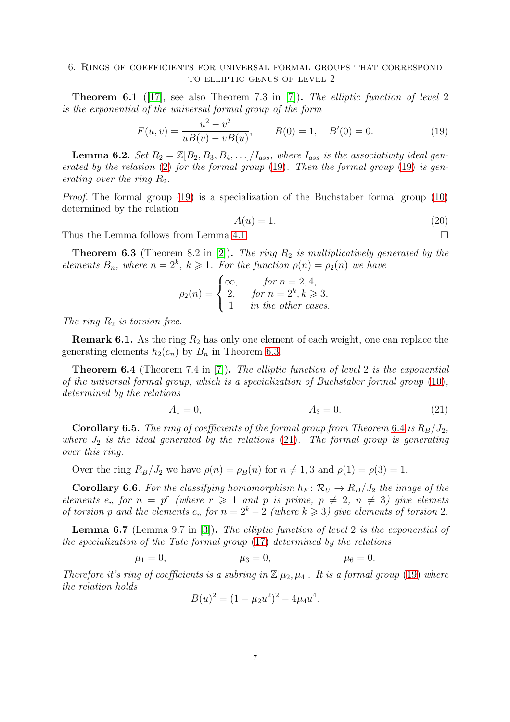<span id="page-6-0"></span>**Theorem 6.1** ([\[17\]](#page-11-16), see also Theorem 7.3 in [\[7\]](#page-11-6)). The elliptic function of level 2 is the exponential of the universal formal group of the form

<span id="page-6-1"></span>
$$
F(u, v) = \frac{u^2 - v^2}{uB(v) - vB(u)}, \qquad B(0) = 1, \quad B'(0) = 0.
$$
 (19)

**Lemma 6.2.** Set  $R_2 = \mathbb{Z}[B_2, B_3, B_4, \ldots]/I_{ass}$ , where  $I_{ass}$  is the associativity ideal generated by the relation  $(2)$  for the formal group  $(19)$ . Then the formal group  $(19)$  is generating over the ring  $R_2$ .

Proof. The formal group [\(19\)](#page-6-1) is a specialization of the Buchstaber formal group [\(10\)](#page-3-2) determined by the relation

<span id="page-6-5"></span>
$$
A(u) = 1.\t\t(20)
$$

Thus the Lemma follows from Lemma [4.1.](#page-3-3)

<span id="page-6-2"></span>**Theorem 6.3** (Theorem 8.2 in [\[2\]](#page-11-1)). The ring  $R_2$  is multiplicatively generated by the elements  $B_n$ , where  $n = 2^k$ ,  $k \geq 1$ . For the function  $\rho(n) = \rho_2(n)$  we have

$$
\rho_2(n) = \begin{cases} \infty, & \text{for } n = 2, 4, \\ 2, & \text{for } n = 2^k, k \geqslant 3, \\ 1 & \text{in the other cases.} \end{cases}
$$

The ring  $R_2$  is torsion-free.

**Remark 6.1.** As the ring  $R_2$  has only one element of each weight, one can replace the generating elements  $h_2(e_n)$  by  $B_n$  in Theorem [6.3.](#page-6-2)

<span id="page-6-3"></span>Theorem 6.4 (Theorem 7.4 in [\[7\]](#page-11-6)). The elliptic function of level 2 is the exponential of the universal formal group, which is a specialization of Buchstaber formal group [\(10\)](#page-3-2), determined by the relations

$$
A_1 = 0, \t A_3 = 0. \t (21)
$$

<span id="page-6-4"></span>.

**Corollary 6.5.** The ring of coefficients of the formal group from Theorem [6.4](#page-6-3) is  $R_B/J_2$ , where  $J_2$  is the ideal generated by the relations [\(21\)](#page-6-4). The formal group is generating over this ring.

Over the ring  $R_B/J_2$  we have  $\rho(n) = \rho_B(n)$  for  $n \neq 1, 3$  and  $\rho(1) = \rho(3) = 1$ .

**Corollary 6.6.** For the classifying homomorphism  $h_F : \mathcal{R}_U \to R_B / J_2$  the image of the elements  $e_n$  for  $n = p^r$  (where  $r \geq 1$  and p is prime,  $p \neq 2$ ,  $n \neq 3$ ) give elemets of torsion p and the elements  $e_n$  for  $n = 2<sup>k</sup> - 2$  (where  $k \ge 3$ ) give elements of torsion 2.

Lemma 6.7 (Lemma 9.7 in [\[3\]](#page-11-2)). The elliptic function of level 2 is the exponential of the specialization of the Tate formal group [\(17\)](#page-5-5) determined by the relations

$$
\mu_1 = 0,
$$
\n $\mu_3 = 0,$ \n $\mu_6 = 0.$ 

Therefore it's ring of coefficients is a subring in  $\mathbb{Z}[\mu_2, \mu_4]$ . It is a formal group [\(19\)](#page-6-1) where the relation holds

$$
B(u)^2 = (1 - \mu_2 u^2)^2 - 4\mu_4 u^4
$$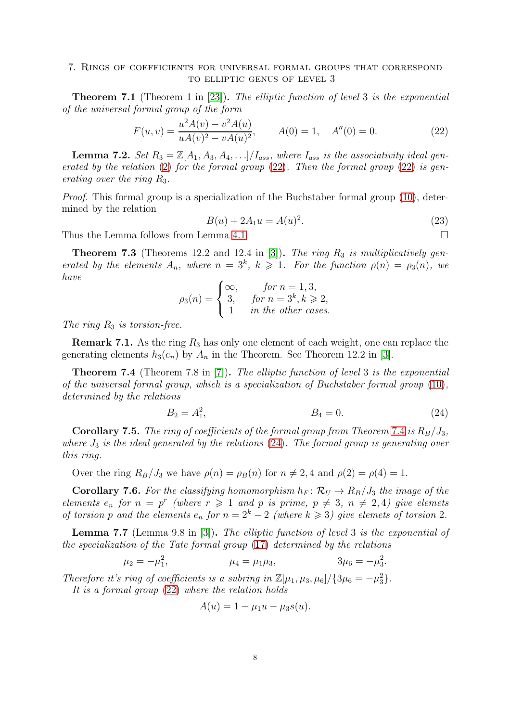<span id="page-7-0"></span>**Theorem 7.1** (Theorem 1 in [\[23\]](#page-11-22)). The elliptic function of level 3 is the exponential of the universal formal group of the form

<span id="page-7-1"></span>
$$
F(u,v) = \frac{u^2 A(v) - v^2 A(u)}{u A(v)^2 - v A(u)^2}, \qquad A(0) = 1, \quad A''(0) = 0.
$$
 (22)

**Lemma 7.2.** Set  $R_3 = \mathbb{Z}[A_1, A_3, A_4, \ldots]/I_{ass}$ , where  $I_{ass}$  is the associativity ideal generated by the relation  $(2)$  for the formal group  $(22)$ . Then the formal group  $(22)$  is generating over the ring  $R_3$ .

Proof. This formal group is a specialization of the Buchstaber formal group [\(10\)](#page-3-2), determined by the relation

<span id="page-7-4"></span>
$$
B(u) + 2A_1 u = A(u)^2.
$$
 (23)

Thus the Lemma follows from Lemma [4.1.](#page-3-3)

**Theorem 7.3** (Theorems 12.2 and 12.4 in [\[3\]](#page-11-2)). The ring  $R_3$  is multiplicatively generated by the elements  $A_n$ , where  $n = 3^k$ ,  $k \geq 1$ . For the function  $\rho(n) = \rho_3(n)$ , we have

$$
\rho_3(n) = \begin{cases} \infty, & \text{for } n = 1, 3, \\ 3, & \text{for } n = 3^k, k \geq 2, \\ 1 & \text{in the other cases.} \end{cases}
$$

The ring  $R_3$  is torsion-free.

**Remark 7.1.** As the ring  $R_3$  has only one element of each weight, one can replace the generating elements  $h_3(e_n)$  by  $A_n$  in the Theorem. See Theorem 12.2 in [\[3\]](#page-11-2).

<span id="page-7-2"></span>**Theorem 7.4** (Theorem 7.8 in [\[7\]](#page-11-6)). The elliptic function of level 3 is the exponential of the universal formal group, which is a specialization of Buchstaber formal group [\(10\)](#page-3-2), determined by the relations

<span id="page-7-3"></span>
$$
B_2 = A_1^2, \t\t B_4 = 0. \t\t (24)
$$

**Corollary 7.5.** The ring of coefficients of the formal group from Theorem [7.4](#page-7-2) is  $R_B/J_3$ , where  $J_3$  is the ideal generated by the relations  $(24)$ . The formal group is generating over this ring.

Over the ring  $R_B/J_3$  we have  $\rho(n) = \rho_B(n)$  for  $n \neq 2, 4$  and  $\rho(2) = \rho(4) = 1$ .

**Corollary 7.6.** For the classifying homomorphism  $h_F \colon \mathcal{R}_U \to R_B/J_3$  the image of the elements  $e_n$  for  $n = p^r$  (where  $r \geq 1$  and p is prime,  $p \neq 3$ ,  $n \neq 2, 4$ ) give elemets of torsion p and the elements  $e_n$  for  $n = 2^k - 2$  (where  $k \ge 3$ ) give elemets of torsion 2.

Lemma 7.7 (Lemma 9.8 in [\[3\]](#page-11-2)). The elliptic function of level 3 is the exponential of the specialization of the Tate formal group [\(17\)](#page-5-5) determined by the relations

$$
\mu_2 = -\mu_1^2,
$$
\n $\mu_4 = \mu_1 \mu_3,$ \n $3\mu_6 = -\mu_3^2.$ 

Therefore it's ring of coefficients is a subring in  $\mathbb{Z}[\mu_1, \mu_3, \mu_6]/\{3\mu_6 = -\mu_3^2\}.$ 

It is a formal group [\(22\)](#page-7-1) where the relation holds

$$
A(u) = 1 - \mu_1 u - \mu_3 s(u).
$$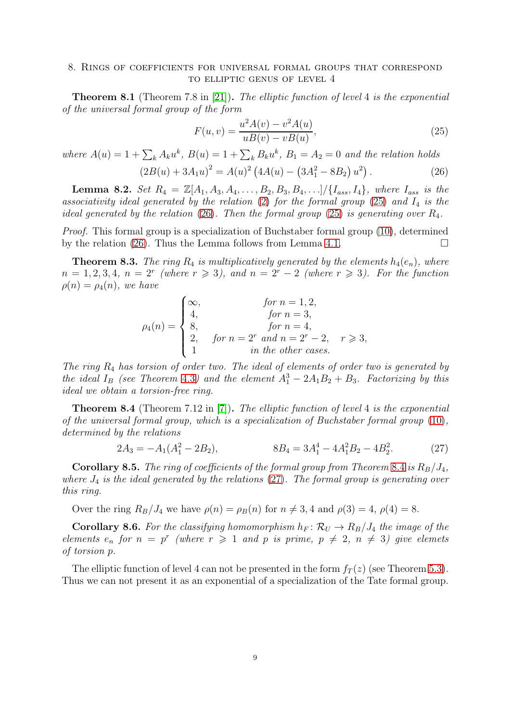<span id="page-8-0"></span>**Theorem 8.1** (Theorem 7.8 in [\[21\]](#page-11-17)). The elliptic function of level 4 is the exponential of the universal formal group of the form

<span id="page-8-1"></span>
$$
F(u, v) = \frac{u^2 A(v) - v^2 A(u)}{u B(v) - v B(u)},
$$
\n(25)

where  $A(u) = 1 + \sum_k A_k u^k$ ,  $B(u) = 1 + \sum_k B_k u^k$ ,  $B_1 = A_2 = 0$  and the relation holds

<span id="page-8-2"></span>
$$
(2B(u) + 3A_1u)^2 = A(u)^2 (4A(u) - (3A_1^2 - 8B_2) u^2).
$$
 (26)

**Lemma 8.2.** Set  $R_4 = \mathbb{Z}[A_1, A_3, A_4, \ldots, B_2, B_3, B_4, \ldots] / \{I_{ass}, I_4\}$ , where  $I_{ass}$  is the associativity ideal generated by the relation  $(2)$  for the formal group  $(25)$  and  $I_4$  is the ideal generated by the relation [\(26\)](#page-8-2). Then the formal group [\(25\)](#page-8-1) is generating over  $R_4$ .

Proof. This formal group is a specialization of Buchstaber formal group [\(10\)](#page-3-2), determined by the relation [\(26\)](#page-8-2). Thus the Lemma follows from Lemma [4.1.](#page-3-3)  $\Box$ 

**Theorem 8.3.** The ring  $R_4$  is multiplicatively generated by the elements  $h_4(e_n)$ , where  $n = 1, 2, 3, 4, n = 2^r$  (where  $r \ge 3$ ), and  $n = 2^r - 2$  (where  $r \ge 3$ ). For the function  $\rho(n) = \rho_4(n)$ , we have

$$
\rho_4(n) = \begin{cases}\n\infty, & \text{for } n = 1, 2, \\
4, & \text{for } n = 3, \\
8, & \text{for } n = 4, \\
2, & \text{for } n = 2^r \text{ and } n = 2^r - 2, \quad r \ge 3, \\
1 & \text{in the other cases.}\n\end{cases}
$$

The ring  $R_4$  has torsion of order two. The ideal of elements of order two is generated by the ideal  $I_B$  (see Theorem [4.3](#page-4-0)) and the element  $A_1^3 - 2A_1B_2 + B_3$ . Factorizing by this ideal we obtain a torsion-free ring.

<span id="page-8-3"></span>**Theorem 8.4** (Theorem 7.12 in [\[7\]](#page-11-6)). The elliptic function of level 4 is the exponential of the universal formal group, which is a specialization of Buchstaber formal group [\(10\)](#page-3-2), determined by the relations

<span id="page-8-4"></span>
$$
2A_3 = -A_1(A_1^2 - 2B_2), \qquad 8B_4 = 3A_1^4 - 4A_1^2B_2 - 4B_2^2. \tag{27}
$$

**Corollary 8.5.** The ring of coefficients of the formal group from Theorem [8.4](#page-8-3) is  $R_B/J_4$ , where  $J_4$  is the ideal generated by the relations [\(27\)](#page-8-4). The formal group is generating over this ring.

Over the ring  $R_B/J_4$  we have  $\rho(n) = \rho_B(n)$  for  $n \neq 3, 4$  and  $\rho(3) = 4, \rho(4) = 8$ .

**Corollary 8.6.** For the classifying homomorphism  $h_F \colon \mathcal{R}_U \to R_B/J_4$  the image of the elements  $e_n$  for  $n = p^r$  (where  $r \geq 1$  and p is prime,  $p \neq 2$ ,  $n \neq 3$ ) give elemets of torsion p.

The elliptic function of level 4 can not be presented in the form  $f_T(z)$  (see Theorem [5.3\)](#page-5-6). Thus we can not present it as an exponential of a specialization of the Tate formal group.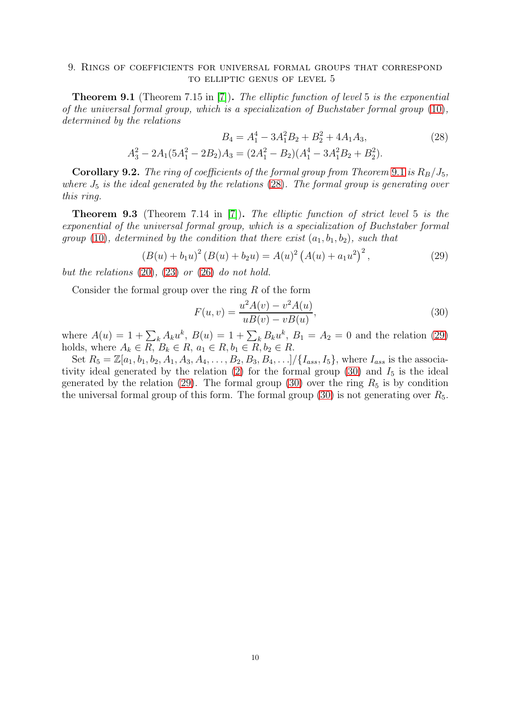<span id="page-9-1"></span><span id="page-9-0"></span>**Theorem 9.1** (Theorem 7.15 in [\[7\]](#page-11-6)). The elliptic function of level 5 is the exponential of the universal formal group, which is a specialization of Buchstaber formal group [\(10\)](#page-3-2), determined by the relations

$$
B_4 = A_1^4 - 3A_1^2B_2 + B_2^2 + 4A_1A_3,
$$
\n
$$
A_3^2 - 2A_1(5A_1^2 - 2B_2)A_3 = (2A_1^2 - B_2)(A_1^4 - 3A_1^2B_2 + B_2^2).
$$
\n(28)

**Corollary 9.2.** The ring of coefficients of the formal group from Theorem [9.1](#page-9-1) is  $R_B/J_5$ , where  $J_5$  is the ideal generated by the relations [\(28\)](#page-9-2). The formal group is generating over this ring.

**Theorem 9.3** (Theorem 7.14 in [\[7\]](#page-11-6)). The elliptic function of strict level 5 is the exponential of the universal formal group, which is a specialization of Buchstaber formal group [\(10\)](#page-3-2), determined by the condition that there exist  $(a_1, b_1, b_2)$ , such that

<span id="page-9-3"></span>
$$
(B(u) + b_1 u)^2 (B(u) + b_2 u) = A(u)^2 (A(u) + a_1 u^2)^2,
$$
\n(29)

but the relations  $(20)$ ,  $(23)$  or  $(26)$  do not hold.

Consider the formal group over the ring  $R$  of the form

<span id="page-9-4"></span><span id="page-9-2"></span>
$$
F(u, v) = \frac{u^2 A(v) - v^2 A(u)}{u B(v) - v B(u)},
$$
\n(30)

where  $A(u) = 1 + \sum_{k} A_{k} u^{k}$ ,  $B(u) = 1 + \sum_{k} B_{k} u^{k}$ ,  $B_{1} = A_{2} = 0$  and the relation [\(29\)](#page-9-3) holds, where  $A_k \in R$ ,  $B_k \in R$ ,  $a_1 \in R$ ,  $b_1 \in R$ ,  $b_2 \in R$ .

Set  $R_5 = \mathbb{Z}[a_1, b_1, b_2, A_1, A_3, A_4, \ldots, B_2, B_3, B_4, \ldots]/\{I_{ass}, I_5\}$ , where  $I_{ass}$  is the associa-tivity ideal generated by the relation [\(2\)](#page-0-2) for the formal group [\(30\)](#page-9-4) and  $I_5$  is the ideal generated by the relation [\(29\)](#page-9-3). The formal group [\(30\)](#page-9-4) over the ring  $R_5$  is by condition the universal formal group of this form. The formal group  $(30)$  is not generating over  $R_5$ .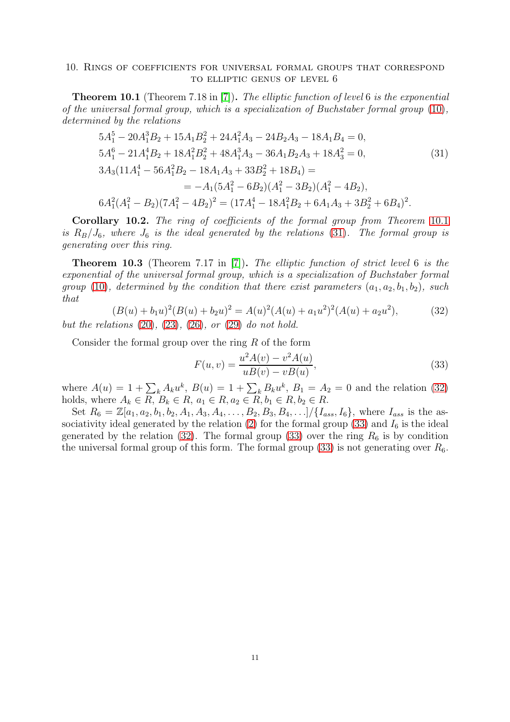<span id="page-10-1"></span><span id="page-10-0"></span>**Theorem 10.1** (Theorem 7.18 in [\[7\]](#page-11-6)). The elliptic function of level 6 is the exponential of the universal formal group, which is a specialization of Buchstaber formal group [\(10\)](#page-3-2), determined by the relations

$$
5A_1^5 - 20A_1^3B_2 + 15A_1B_2^2 + 24A_1^2A_3 - 24B_2A_3 - 18A_1B_4 = 0,
$$
  
\n
$$
5A_1^6 - 21A_1^4B_2 + 18A_1^2B_2^2 + 48A_1^3A_3 - 36A_1B_2A_3 + 18A_3^2 = 0,
$$
  
\n
$$
3A_3(11A_1^4 - 56A_1^2B_2 - 18A_1A_3 + 33B_2^2 + 18B_4) =
$$
  
\n
$$
= -A_1(5A_1^2 - 6B_2)(A_1^2 - 3B_2)(A_1^2 - 4B_2),
$$
  
\n
$$
6A_1^2(A_1^2 - B_2)(7A_1^2 - 4B_2)^2 = (17A_1^4 - 18A_1^2B_2 + 6A_1A_3 + 3B_2^2 + 6B_4)^2.
$$
  
\n(31)

Corollary 10.2. The ring of coefficients of the formal group from Theorem [10.1](#page-10-1) is  $R_B/J_6$ , where  $J_6$  is the ideal generated by the relations [\(31\)](#page-10-2). The formal group is generating over this ring.

Theorem 10.3 (Theorem 7.17 in [\[7\]](#page-11-6)). The elliptic function of strict level 6 is the exponential of the universal formal group, which is a specialization of Buchstaber formal group [\(10\)](#page-3-2), determined by the condition that there exist parameters  $(a_1, a_2, b_1, b_2)$ , such that

<span id="page-10-3"></span>
$$
(B(u) + b_1 u)^2 (B(u) + b_2 u)^2 = A(u)^2 (A(u) + a_1 u^2)^2 (A(u) + a_2 u^2),
$$
\n(32)

but the relations  $(20)$ ,  $(23)$ ,  $(26)$ , or  $(29)$  do not hold.

Consider the formal group over the ring  $R$  of the form

<span id="page-10-4"></span><span id="page-10-2"></span>
$$
F(u, v) = \frac{u^2 A(v) - v^2 A(u)}{u B(v) - v B(u)},
$$
\n(33)

where  $A(u) = 1 + \sum_{k} A_{k} u^{k}$ ,  $B(u) = 1 + \sum_{k} B_{k} u^{k}$ ,  $B_{1} = A_{2} = 0$  and the relation [\(32\)](#page-10-3) holds, where  $A_k \in R$ ,  $B_k \in R$ ,  $a_1 \in R$ ,  $a_2 \in R$ ,  $b_1 \in R$ ,  $b_2 \in R$ .

Set  $R_6 = \mathbb{Z}[a_1, a_2, b_1, b_2, A_1, A_3, A_4, \ldots, B_2, B_3, B_4, \ldots] / \{I_{ass}, I_6\}$ , where  $I_{ass}$  is the as-sociativity ideal generated by the relation [\(2\)](#page-0-2) for the formal group [\(33\)](#page-10-4) and  $I_6$  is the ideal generated by the relation [\(32\)](#page-10-3). The formal group [\(33\)](#page-10-4) over the ring  $R_6$  is by condition the universal formal group of this form. The formal group [\(33\)](#page-10-4) is not generating over  $R_6$ .